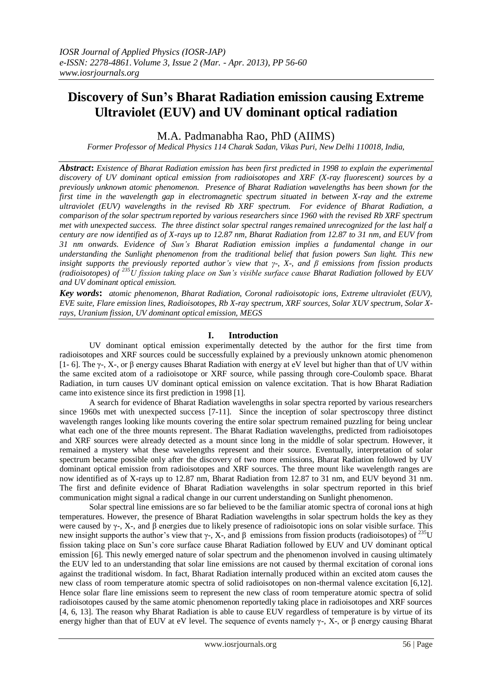# **Discovery of Sun's Bharat Radiation emission causing Extreme Ultraviolet (EUV) and UV dominant optical radiation**

M.A. Padmanabha Rao, PhD (AIIMS)

*Former Professor of Medical Physics 114 Charak Sadan, Vikas Puri, New Delhi 110018, India,*

*Abstract***:** *Existence of Bharat Radiation emission has been first predicted in 1998 to explain the experimental discovery of UV dominant optical emission from radioisotopes and XRF (X-ray fluorescent) sources by a previously unknown atomic phenomenon. Presence of Bharat Radiation wavelengths has been shown for the first time in the wavelength gap in electromagnetic spectrum situated in between X-ray and the extreme ultraviolet (EUV) wavelengths in the revised Rb XRF spectrum. For evidence of Bharat Radiation, a comparison of the solar spectrum reported by various researchers since 1960 with the revised Rb XRF spectrum met with unexpected success. The three distinct solar spectral rangesremained unrecognized for the last half a century are now identified as of X-rays up to 12.87 nm, Bharat Radiation from 12.87 to 31 nm, and EUV from 31 nm onwards. Evidence of Sun's Bharat Radiation emission implies a fundamental change in our understanding the Sunlight phenomenon from the traditional belief that fusion powers Sun light. This new insight supports the previously reported author's view that γ-, X-, and β emissions from fission products (radioisotopes) of <sup>235</sup>U fission taking place on Sun's visible surface cause Bharat Radiation followed by EUV and UV dominant optical emission.*

*Key words***:** *atomic phenomenon, Bharat Radiation, Coronal radioisotopic ions, Extreme ultraviolet (EUV), EVE suite, Flare emission lines, Radioisotopes, Rb X-ray spectrum, XRF sources, Solar XUV spectrum, Solar Xrays, Uranium fission, UV dominant optical emission, MEGS*

## **I. Introduction**

UV dominant optical emission experimentally detected by the author for the first time from radioisotopes and XRF sources could be successfully explained by a previously unknown atomic phenomenon [1- 6]. The  $\gamma$ -, X-, or β energy causes Bharat Radiation with energy at eV level but higher than that of UV within the same excited atom of a radioisotope or XRF source, while passing through core-Coulomb space. Bharat Radiation, in turn causes UV dominant optical emission on valence excitation. That is how Bharat Radiation came into existence since its first prediction in 1998 [1].

A search for evidence of Bharat Radiation wavelengths in solar spectra reported by various researchers since 1960s met with unexpected success [7-11]. Since the inception of solar spectroscopy three distinct wavelength ranges looking like mounts covering the entire solar spectrum remained puzzling for being unclear what each one of the three mounts represent. The Bharat Radiation wavelengths, predicted from radioisotopes and XRF sources were already detected as a mount since long in the middle of solar spectrum. However, it remained a mystery what these wavelengths represent and their source. Eventually, interpretation of solar spectrum became possible only after the discovery of two more emissions, Bharat Radiation followed by UV dominant optical emission from radioisotopes and XRF sources. The three mount like wavelength ranges are now identified as of X-rays up to 12.87 nm, Bharat Radiation from 12.87 to 31 nm, and EUV beyond 31 nm. The first and definite evidence of Bharat Radiation wavelengths in solar spectrum reported in this brief communication might signal a radical change in our current understanding on Sunlight phenomenon.

Solar spectral line emissions are so far believed to be the familiar atomic spectra of coronal ions at high temperatures. However, the presence of Bharat Radiation wavelengths in solar spectrum holds the key as they were caused by γ-, X-, and β energies due to likely presence of radioisotopic ions on solar visible surface. This new insight supports the author's view that γ-, X-, and β emissions from fission products (radioisotopes) of <sup>235</sup>U fission taking place on Sun's core surface cause Bharat Radiation followed by EUV and UV dominant optical emission [6]. This newly emerged nature of solar spectrum and the phenomenon involved in causing ultimately the EUV led to an understanding that solar line emissions are not caused by thermal excitation of coronal ions against the traditional wisdom. In fact, Bharat Radiation internally produced within an excited atom causes the new class of room temperature atomic spectra of solid radioisotopes on non-thermal valence excitation [6,12]. Hence solar flare line emissions seem to represent the new class of room temperature atomic spectra of solid radioisotopes caused by the same atomic phenomenon reportedly taking place in radioisotopes and XRF sources [4, 6, 13]. The reason why Bharat Radiation is able to cause EUV regardless of temperature is by virtue of its energy higher than that of EUV at eV level. The sequence of events namely γ-, X-, or β energy causing Bharat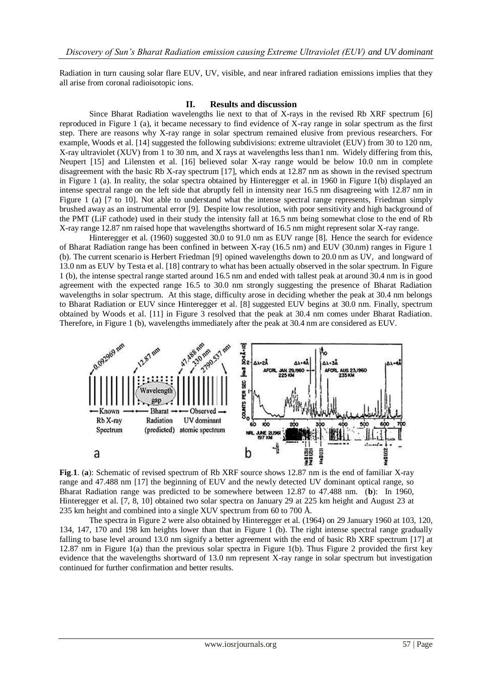Radiation in turn causing solar flare EUV, UV, visible, and near infrared radiation emissions implies that they all arise from coronal radioisotopic ions.

### **II. Results and discussion**

Since Bharat Radiation wavelengths lie next to that of X-rays in the revised Rb XRF spectrum [6] reproduced in Figure 1 (a), it became necessary to find evidence of X-ray range in solar spectrum as the first step. There are reasons why X-ray range in solar spectrum remained elusive from previous researchers. For example, Woods et al. [14] suggested the following subdivisions: extreme ultraviolet (EUV) from 30 to 120 nm, X-ray ultraviolet (XUV) from 1 to 30 nm, and X rays at wavelengths less than1 nm. Widely differing from this, Neupert [15] and Lilensten et al. [16] believed solar X-ray range would be below 10.0 nm in complete disagreement with the basic Rb X-ray spectrum [17], which ends at 12.87 nm as shown in the revised spectrum in Figure 1 (a). In reality, the solar spectra obtained by Hinteregger et al. in 1960 in Figure 1(b) displayed an intense spectral range on the left side that abruptly fell in intensity near 16.5 nm disagreeing with 12.87 nm in Figure 1 (a) [7 to 10]. Not able to understand what the intense spectral range represents, Friedman simply brushed away as an instrumental error [9]. Despite low resolution, with poor sensitivity and high background of the PMT (LiF cathode) used in their study the intensity fall at 16.5 nm being somewhat close to the end of Rb X-ray range 12.87 nm raised hope that wavelengths shortward of 16.5 nm might represent solar X-ray range.

Hinteregger et al. (1960) suggested 30.0 to 91.0 nm as EUV range [8]. Hence the search for evidence of Bharat Radiation range has been confined in between X-ray (16.5 nm) and EUV (30.nm) ranges in Figure 1 (b). The current scenario is Herbert Friedman [9] opined wavelengths down to 20.0 nm as UV, and longward of 13.0 nm as EUV by Testa et al. [18] contrary to what has been actually observed in the solar spectrum. In Figure 1 (b), the intense spectral range started around 16.5 nm and ended with tallest peak at around 30.4 nm is in good agreement with the expected range 16.5 to 30.0 nm strongly suggesting the presence of Bharat Radiation wavelengths in solar spectrum. At this stage, difficulty arose in deciding whether the peak at 30.4 nm belongs to Bharat Radiation or EUV since Hinteregger et al. [8] suggested EUV begins at 30.0 nm. Finally, spectrum obtained by Woods et al. [11] in Figure 3 resolved that the peak at 30.4 nm comes under Bharat Radiation. Therefore, in Figure 1 (b), wavelengths immediately after the peak at 30.4 nm are considered as EUV.



**Fig**.**1**. (**a**): Schematic of revised spectrum of Rb XRF source shows 12.87 nm is the end of familiar X-ray range and 47.488 nm [17] the beginning of EUV and the newly detected UV dominant optical range, so Bharat Radiation range was predicted to be somewhere between 12.87 to 47.488 nm. (**b**): In 1960, Hinteregger et al. [7, 8, 10] obtained two solar spectra on January 29 at 225 km height and August 23 at 235 km height and combined into a single XUV spectrum from 60 to 700 Å.

The spectra in Figure 2 were also obtained by Hinteregger et al. (1964) on 29 January 1960 at 103, 120, 134, 147, 170 and 198 km heights lower than that in Figure 1 (b). The right intense spectral range gradually falling to base level around 13.0 nm signify a better agreement with the end of basic Rb XRF spectrum [17] at 12.87 nm in Figure 1(a) than the previous solar spectra in Figure 1(b). Thus Figure 2 provided the first key evidence that the wavelengths shortward of 13.0 nm represent X-ray range in solar spectrum but investigation continued for further confirmation and better results.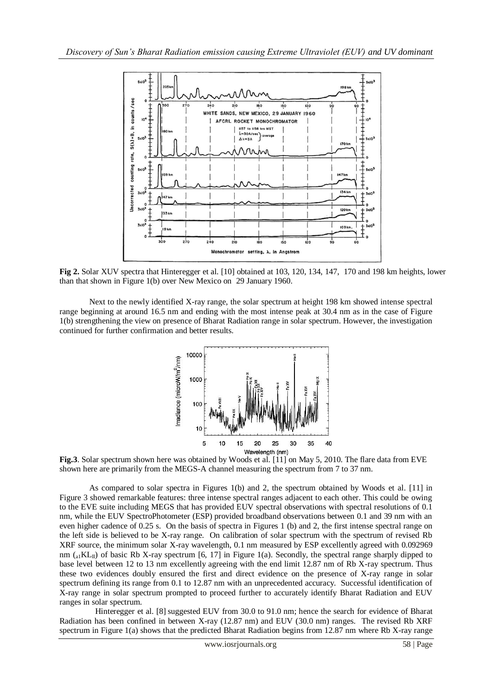

**Fig 2.** Solar XUV spectra that Hinteregger et al. [10] obtained at 103, 120, 134, 147, 170 and 198 km heights, lower than that shown in Figure 1(b) over New Mexico on 29 January 1960.

Next to the newly identified X-ray range, the solar spectrum at height 198 km showed intense spectral range beginning at around 16.5 nm and ending with the most intense peak at 30.4 nm as in the case of Figure 1(b) strengthening the view on presence of Bharat Radiation range in solar spectrum. However, the investigation continued for further confirmation and better results.



**Fig.3**. Solar spectrum shown here was obtained by Woods et al. [11] on May 5, 2010. The flare data from EVE shown here are primarily from the MEGS-A channel measuring the spectrum from 7 to 37 nm.

As compared to solar spectra in Figures 1(b) and 2, the spectrum obtained by Woods et al. [11] in Figure 3 showed remarkable features: three intense spectral ranges adjacent to each other. This could be owing to the EVE suite including MEGS that has provided EUV spectral observations with spectral resolutions of 0.1 nm, while the EUV SpectroPhotometer (ESP) provided broadband observations between 0.1 and 39 nm with an even higher cadence of 0.25 s. On the basis of spectra in Figures 1 (b) and 2, the first intense spectral range on the left side is believed to be X-ray range. On calibration of solar spectrum with the spectrum of revised Rb XRF source, the minimum solar X-ray wavelength, 0.1 nm measured by ESP excellently agreed with 0.092969 nm  $\binom{a}{a}$  KL<sub>II</sub>) of basic Rb X-ray spectrum [6, 17] in Figure 1(a). Secondly, the spectral range sharply dipped to base level between 12 to 13 nm excellently agreeing with the end limit 12.87 nm of Rb X-ray spectrum. Thus these two evidences doubly ensured the first and direct evidence on the presence of X-ray range in solar spectrum defining its range from 0.1 to 12.87 nm with an unprecedented accuracy. Successful identification of X-ray range in solar spectrum prompted to proceed further to accurately identify Bharat Radiation and EUV ranges in solar spectrum.

Hinteregger et al. [8] suggested EUV from 30.0 to 91.0 nm; hence the search for evidence of Bharat Radiation has been confined in between X-ray (12.87 nm) and EUV (30.0 nm) ranges. The revised Rb XRF spectrum in Figure 1(a) shows that the predicted Bharat Radiation begins from 12.87 nm where Rb X-ray range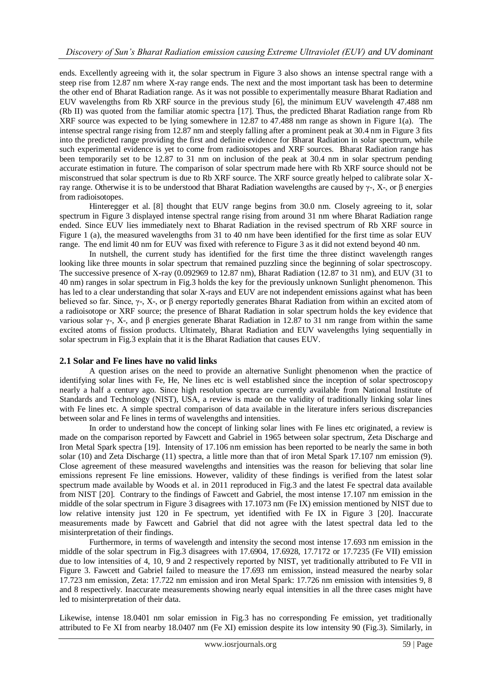ends. Excellently agreeing with it, the solar spectrum in Figure 3 also shows an intense spectral range with a steep rise from 12.87 nm where X-ray range ends. The next and the most important task has been to determine the other end of Bharat Radiation range. As it was not possible to experimentally measure Bharat Radiation and EUV wavelengths from Rb XRF source in the previous study [6], the minimum EUV wavelength 47.488 nm (Rb II) was quoted from the familiar atomic spectra [17]. Thus, the predicted Bharat Radiation range from Rb XRF source was expected to be lying somewhere in 12.87 to 47.488 nm range as shown in Figure 1(a). The intense spectral range rising from 12.87 nm and steeply falling after a prominent peak at 30.4 nm in Figure 3 fits into the predicted range providing the first and definite evidence for Bharat Radiation in solar spectrum, while such experimental evidence is yet to come from radioisotopes and XRF sources. Bharat Radiation range has been temporarily set to be 12.87 to 31 nm on inclusion of the peak at 30.4 nm in solar spectrum pending accurate estimation in future. The comparison of solar spectrum made here with Rb XRF source should not be misconstrued that solar spectrum is due to Rb XRF source. The XRF source greatly helped to calibrate solar Xray range. Otherwise it is to be understood that Bharat Radiation wavelengths are caused by γ-, X-, or β energies from radioisotopes.

Hinteregger et al. [8] thought that EUV range begins from 30.0 nm. Closely agreeing to it, solar spectrum in Figure 3 displayed intense spectral range rising from around 31 nm where Bharat Radiation range ended. Since EUV lies immediately next to Bharat Radiation in the revised spectrum of Rb XRF source in Figure 1 (a), the measured wavelengths from 31 to 40 nm have been identified for the first time as solar EUV range. The end limit 40 nm for EUV was fixed with reference to Figure 3 as it did not extend beyond 40 nm.

In nutshell, the current study has identified for the first time the three distinct wavelength ranges looking like three mounts in solar spectrum that remained puzzling since the beginning of solar spectroscopy. The successive presence of X-ray (0.092969 to 12.87 nm), Bharat Radiation (12.87 to 31 nm), and EUV (31 to 40 nm) ranges in solar spectrum in Fig.3 holds the key for the previously unknown Sunlight phenomenon. This has led to a clear understanding that solar X-rays and EUV are not independent emissions against what has been believed so far. Since, γ-, X-, or β energy reportedly generates Bharat Radiation from within an excited atom of a radioisotope or XRF source; the presence of Bharat Radiation in solar spectrum holds the key evidence that various solar γ-, X-, and β energies generate Bharat Radiation in 12.87 to 31 nm range from within the same excited atoms of fission products. Ultimately, Bharat Radiation and EUV wavelengths lying sequentially in solar spectrum in Fig.3 explain that it is the Bharat Radiation that causes EUV.

## **2.1 Solar and Fe lines have no valid links**

A question arises on the need to provide an alternative Sunlight phenomenon when the practice of identifying solar lines with Fe, He, Ne lines etc is well established since the inception of solar spectroscopy nearly a half a century ago. Since high resolution spectra are currently available from National Institute of Standards and Technology (NIST), USA, a review is made on the validity of traditionally linking solar lines with Fe lines etc. A simple spectral comparison of data available in the literature infers serious discrepancies between solar and Fe lines in terms of wavelengths and intensities.

In order to understand how the concept of linking solar lines with Fe lines etc originated, a review is made on the comparison reported by Fawcett and Gabriel in 1965 between solar spectrum, Zeta Discharge and Iron Metal Spark spectra [19]. Intensity of 17.106 nm emission has been reported to be nearly the same in both solar (10) and Zeta Discharge (11) spectra, a little more than that of iron Metal Spark 17.107 nm emission (9). Close agreement of these measured wavelengths and intensities was the reason for believing that solar line emissions represent Fe line emissions. However, validity of these findings is verified from the latest solar spectrum made available by Woods et al. in 2011 reproduced in Fig.3 and the latest Fe spectral data available from NIST [20]. Contrary to the findings of Fawcett and Gabriel, the most intense 17.107 nm emission in the middle of the solar spectrum in Figure 3 disagrees with 17.1073 nm (Fe IX) emission mentioned by NIST due to low relative intensity just 120 in Fe spectrum, yet identified with Fe IX in Figure 3 [20]. Inaccurate measurements made by Fawcett and Gabriel that did not agree with the latest spectral data led to the misinterpretation of their findings.

Furthermore, in terms of wavelength and intensity the second most intense 17.693 nm emission in the middle of the solar spectrum in Fig.3 disagrees with 17.6904, 17.6928, 17.7172 or 17.7235 (Fe VII) emission due to low intensities of 4, 10, 9 and 2 respectively reported by NIST, yet traditionally attributed to Fe VII in Figure 3. Fawcett and Gabriel failed to measure the 17.693 nm emission, instead measured the nearby solar 17.723 nm emission, Zeta: 17.722 nm emission and iron Metal Spark: 17.726 nm emission with intensities 9, 8 and 8 respectively. Inaccurate measurements showing nearly equal intensities in all the three cases might have led to misinterpretation of their data.

Likewise, intense 18.0401 nm solar emission in Fig.3 has no corresponding Fe emission, yet traditionally attributed to Fe XI from nearby 18.0407 nm (Fe XI) emission despite its low intensity 90 (Fig.3). Similarly, in